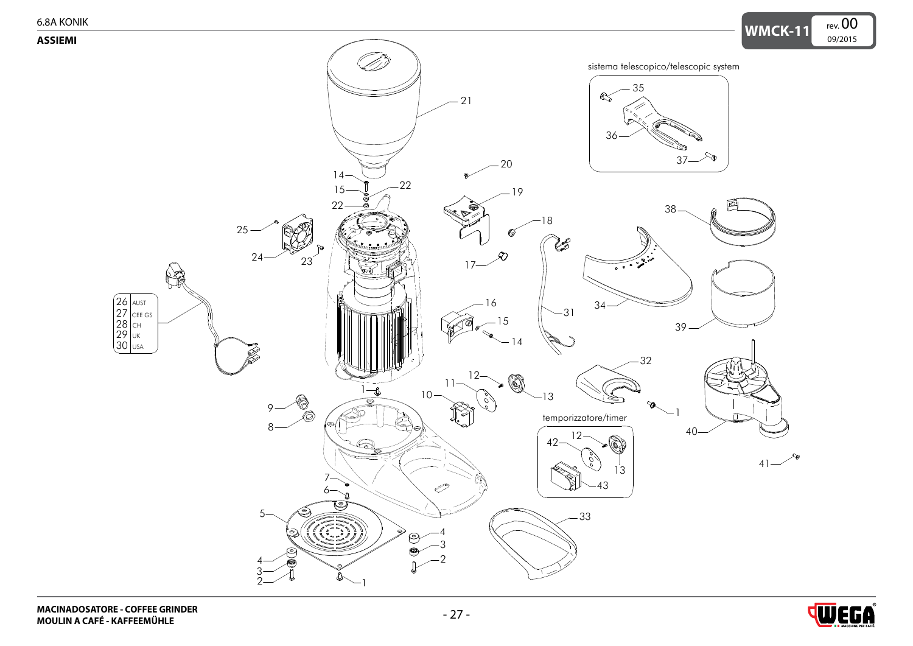<span id="page-0-0"></span>

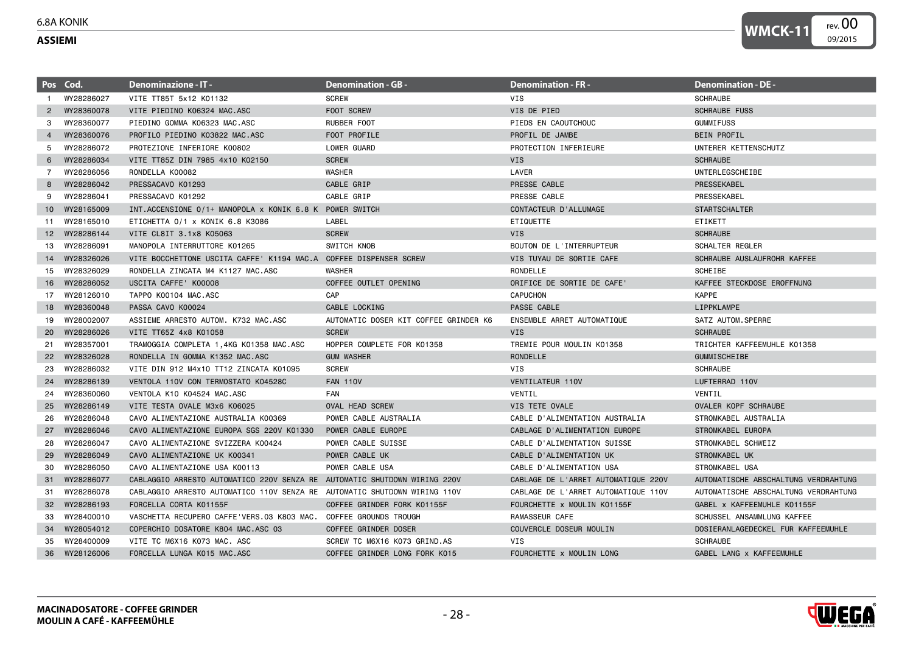## <span id="page-1-0"></span>6.8A KONIK

## **ASSIEMI**

|                 | Pos Cod.      | <b>Denominazione - IT -</b>                                               | <b>Denomination - GB -</b>            | <b>Denomination - FR -</b>          | <b>Denomination - DE -</b>           |
|-----------------|---------------|---------------------------------------------------------------------------|---------------------------------------|-------------------------------------|--------------------------------------|
| -1              | WY28286027    | VITE TT85T 5x12 K01132                                                    | <b>SCREW</b>                          | VIS                                 | <b>SCHRAUBE</b>                      |
| $\overline{2}$  | WY28360078    | VITE PIEDINO K06324 MAC.ASC                                               | FOOT SCREW                            | VIS DE PIED                         | <b>SCHRAUBE FUSS</b>                 |
| 3               | WY28360077    | PIEDINO GOMMA K06323 MAC.ASC                                              | RUBBER FOOT                           | PIEDS EN CAOUTCHOUC                 | <b>GUMMIFUSS</b>                     |
| $\overline{a}$  | WY28360076    | PROFILO PIEDINO K03822 MAC.ASC                                            | FOOT PROFILE                          | PROFIL DE JAMBE                     | <b>BEIN PROFIL</b>                   |
| 5               | WY28286072    | PROTEZIONE INFERIORE K00802                                               | LOWER GUARD                           | PROTECTION INFERIEURE               | UNTERER KETTENSCHUTZ                 |
| 6               | WY28286034    | VITE TT85Z DIN 7985 4x10 K02150                                           | <b>SCREW</b>                          | <b>VIS</b>                          | <b>SCHRAUBE</b>                      |
| 7               | WY28286056    | RONDELLA K00082                                                           | <b>WASHER</b>                         | LAVER                               | UNTERLEGSCHEIBE                      |
| 8               | WY28286042    | PRESSACAVO K01293                                                         | CABLE GRIP                            | PRESSE CABLE                        | PRESSEKABEL                          |
| 9               | WY28286041    | PRESSACAVO K01292                                                         | CABLE GRIP                            | PRESSE CABLE                        | PRESSEKABEL                          |
|                 | 10 WY28165009 | INT.ACCENSIONE 0/1+ MANOPOLA x KONIK 6.8 K POWER SWITCH                   |                                       | CONTACTEUR D'ALLUMAGE               | <b>STARTSCHALTER</b>                 |
| 11              | WY28165010    | ETICHETTA 0/1 x KONIK 6.8 K3086                                           | LABEL                                 | ETIQUETTE                           | ETIKETT                              |
|                 | 12 WY28286144 | VITE CL8IT 3.1x8 K05063                                                   | <b>SCREW</b>                          | <b>VIS</b>                          | <b>SCHRAUBE</b>                      |
| 13              | WY28286091    | MANOPOLA INTERRUTTORE K01265                                              | SWITCH KNOB                           | BOUTON DE L'INTERRUPTEUR            | SCHALTER REGLER                      |
|                 | 14 WY28326026 | VITE BOCCHETTONE USCITA CAFFE' K1194 MAC.A COFFEE DISPENSER SCREW         |                                       | VIS TUYAU DE SORTIE CAFE            | SCHRAUBE AUSLAUFROHR KAFFEE          |
| 15              | WY28326029    | RONDELLA ZINCATA M4 K1127 MAC.ASC                                         | <b>WASHER</b>                         | RONDELLE                            | <b>SCHEIBE</b>                       |
|                 | 16 WY28286052 | USCITA CAFFE' K00008                                                      | COFFEE OUTLET OPENING                 | ORIFICE DE SORTIE DE CAFE'          | KAFFEE STECKDOSE EROFFNUNG           |
|                 | 17 WY28126010 | TAPPO K00104 MAC.ASC                                                      | CAP                                   | <b>CAPUCHON</b>                     | <b>KAPPE</b>                         |
| 18              | WY28360048    | PASSA CAVO K00024                                                         | CABLE LOCKING                         | PASSE CABLE                         | LIPPKLAMPE                           |
| 19              | WY28002007    | ASSIEME ARRESTO AUTOM, K732 MAC.ASC                                       | AUTOMATIC DOSER KIT COFFEE GRINDER K6 | ENSEMBLE ARRET AUTOMATIQUE          | SATZ AUTOM.SPERRE                    |
| <b>20</b>       | WY28286026    | VITE TT65Z 4x8 K01058                                                     | <b>SCREW</b>                          | <b>VIS</b>                          | <b>SCHRAUBE</b>                      |
| 21              | WY28357001    | TRAMOGGIA COMPLETA 1,4KG K01358 MAC.ASC                                   | HOPPER COMPLETE FOR K01358            | TREMIE POUR MOULIN K01358           | TRICHTER KAFFEEMUHLE K01358          |
| 22 <sub>2</sub> | WY28326028    | RONDELLA IN GOMMA K1352 MAC.ASC                                           | <b>GUM WASHER</b>                     | RONDELLE                            | <b>GUMMISCHEIBE</b>                  |
| 23              | WY28286032    | VITE DIN 912 M4x10 TT12 ZINCATA K01095                                    | <b>SCREW</b>                          | VIS                                 | <b>SCHRAUBE</b>                      |
| 24              | WY28286139    | VENTOLA 110V CON TERMOSTATO K04528C                                       | <b>FAN 110V</b>                       | VENTILATEUR 110V                    | LUFTERRAD 110V                       |
| 24              | WY28360060    | VENTOLA K10 K04524 MAC.ASC                                                | FAN                                   | VENTIL                              | VENTIL                               |
| 25              | WY28286149    | VITE TESTA OVALE M3x6 K06025                                              | <b>OVAL HEAD SCREW</b>                | VIS TETE OVALE                      | <b>OVALER KOPF SCHRAUBE</b>          |
| 26              | WY28286048    | CAVO ALIMENTAZIONE AUSTRALIA K00369                                       | POWER CABLE AUSTRALIA                 | CABLE D'ALIMENTATION AUSTRALIA      | STROMKABEL AUSTRALIA                 |
| 27              | WY28286046    | CAVO ALIMENTAZIONE EUROPA SGS 220V K01330                                 | POWER CABLE EUROPE                    | CABLAGE D'ALIMENTATION EUROPE       | STROMKABEL EUROPA                    |
| 28              | WY28286047    | CAVO ALIMENTAZIONE SVIZZERA K00424                                        | POWER CABLE SUISSE                    | CABLE D'ALIMENTATION SUISSE         | STROMKABEL SCHWEIZ                   |
| 29              | WY28286049    | CAVO ALIMENTAZIONE UK K00341                                              | POWER CABLE UK                        | CABLE D'ALIMENTATION UK             | <b>STROMKABEL UK</b>                 |
| 30              | WY28286050    | CAVO ALIMENTAZIONE USA K00113                                             | POWER CABLE USA                       | CABLE D'ALIMENTATION USA            | STROMKABEL USA                       |
| 31              | WY28286077    | CABLAGGIO ARRESTO AUTOMATICO 220V SENZA RE AUTOMATIC SHUTDOWN WIRING 220V |                                       | CABLAGE DE L'ARRET AUTOMATIQUE 220V | AUTOMATISCHE ABSCHALTUNG VERDRAHTUNG |
| 31              | WY28286078    | CABLAGGIO ARRESTO AUTOMATICO 110V SENZA RE AUTOMATIC SHUTDOWN WIRING 110V |                                       | CABLAGE DE L'ARRET AUTOMATIQUE 110V | AUTOMATISCHE ABSCHALTUNG VERDRAHTUNG |
| 32              | WY28286193    | FORCELLA CORTA K01155F                                                    | COFFEE GRINDER FORK K01155F           | FOURCHETTE x MOULIN K01155F         | GABEL X KAFFEEMUHLE K01155F          |
| 33              | WY28400010    | VASCHETTA RECUPERO CAFFE'VERS.03 K803 MAC. COFFEE GROUNDS TROUGH          |                                       | RAMASSEUR CAFE                      | SCHUSSEL ANSAMMLUNG KAFFEE           |
| 34              | WY28054012    | COPERCHIO DOSATORE K804 MAC.ASC 03                                        | COFFEE GRINDER DOSER                  | COUVERCLE DOSEUR MOULIN             | DOSIERANLAGEDECKEL FUR KAFFEEMUHLE   |
| 35              | WY28400009    | VITE TC M6X16 K073 MAC. ASC                                               | SCREW TC M6X16 K073 GRIND.AS          | VIS                                 | <b>SCHRAUBE</b>                      |
|                 | 36 WY28126006 | FORCELLA LUNGA K015 MAC.ASC                                               | COFFEE GRINDER LONG FORK K015         | FOURCHETTE x MOULIN LONG            | GABEL LANG x KAFFEEMUHLE             |



**WMCK-11**

rev. 00 09/2015